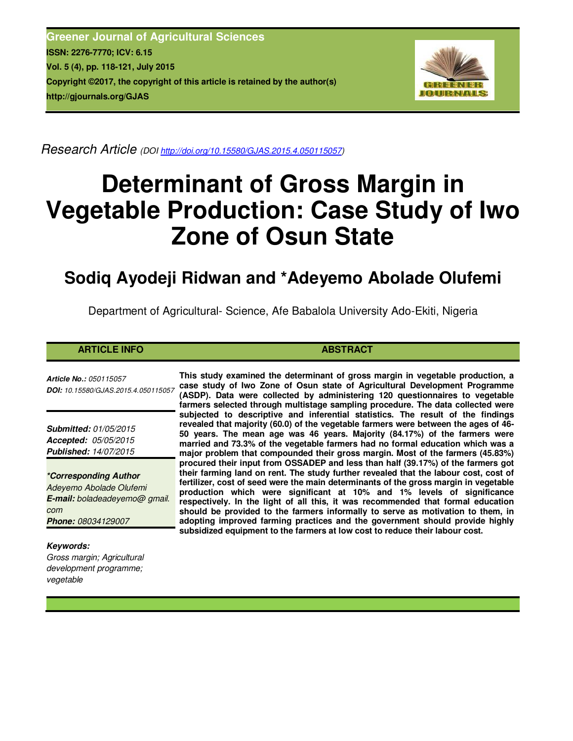**Greener Journal of Agricultural Sciences ISSN: 2276-7770; ICV: 6.15 Vol. 5 (4), pp. 118-121, July 2015 Copyright ©2017, the copyright of this article is retained by the author(s) http://gjournals.org/GJAS**



*Research Article (DOI http://doi.org/10.15580/GJAS.2015.4.050115057)* 

# **Determinant of Gross Margin in Vegetable Production: Case Study of Iwo Zone of Osun State**

# **Sodiq Ayodeji Ridwan and \*Adeyemo Abolade Olufemi**

Department of Agricultural- Science, Afe Babalola University Ado-Ekiti, Nigeria

## **ARTICLE INFO ABSTRACT ABSTRACT**

*Article No.: 050115057 DOI: 10.15580/GJAS.2015.4.050115057*

*Submitted: 01/05/2015 Accepted: 05/05/2015 Published: 14/07/2015*

*\*Corresponding Author Adeyemo Abolade Olufemi E-mail: boladeadeyemo@ gmail. com Phone: 08034129007*

*Keywords: Gross margin; Agricultural development programme; vegetable*

**This study examined the determinant of gross margin in vegetable production, a case study of Iwo Zone of Osun state of Agricultural Development Programme (ASDP). Data were collected by administering 120 questionnaires to vegetable farmers selected through multistage sampling procedure. The data collected were subjected to descriptive and inferential statistics. The result of the findings revealed that majority (60.0) of the vegetable farmers were between the ages of 46- 50 years. The mean age was 46 years. Majority (84.17%) of the farmers were married and 73.3% of the vegetable farmers had no formal education which was a major problem that compounded their gross margin. Most of the farmers (45.83%) procured their input from OSSADEP and less than half (39.17%) of the farmers got their farming land on rent. The study further revealed that the labour cost, cost of fertilizer, cost of seed were the main determinants of the gross margin in vegetable production which were significant at 10% and 1% levels of significance respectively. In the light of all this, it was recommended that formal education should be provided to the farmers informally to serve as motivation to them, in adopting improved farming practices and the government should provide highly subsidized equipment to the farmers at low cost to reduce their labour cost.**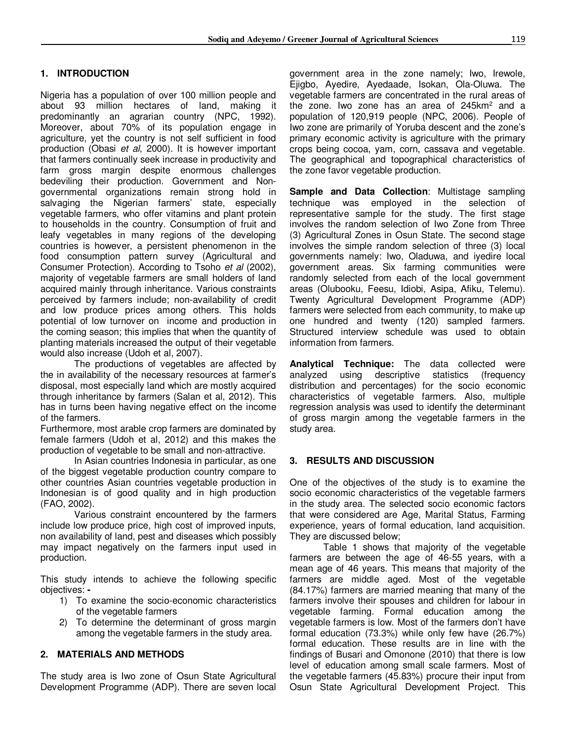# **1. INTRODUCTION**

Nigeria has a population of over 100 million people and about 93 million hectares of land, making it predominantly an agrarian country (NPC, 1992). Moreover, about 70% of its population engage in agriculture, yet the country is not self sufficient in food production (Obasi *et al*, 2000). It is however important that farmers continually seek increase in productivity and farm gross margin despite enormous challenges bedeviling their production. Government and Nongovernmental organizations remain strong hold in salvaging the Nigerian farmers' state, especially vegetable farmers, who offer vitamins and plant protein to households in the country. Consumption of fruit and leafy vegetables in many regions of the developing countries is however, a persistent phenomenon in the food consumption pattern survey (Agricultural and Consumer Protection). According to Tsoho *et al* (2002), majority of vegetable farmers are small holders of land acquired mainly through inheritance. Various constraints perceived by farmers include; non-availability of credit and low produce prices among others. This holds potential of low turnover on income and production in the coming season; this implies that when the quantity of planting materials increased the output of their vegetable would also increase (Udoh et al, 2007).

The productions of vegetables are affected by the in availability of the necessary resources at farmer's disposal, most especially land which are mostly acquired through inheritance by farmers (Salan et al, 2012). This has in turns been having negative effect on the income of the farmers.

Furthermore, most arable crop farmers are dominated by female farmers (Udoh et al, 2012) and this makes the production of vegetable to be small and non-attractive.

In Asian countries Indonesia in particular, as one of the biggest vegetable production country compare to other countries Asian countries vegetable production in Indonesian is of good quality and in high production (FAO, 2002).

Various constraint encountered by the farmers include low produce price, high cost of improved inputs, non availability of land, pest and diseases which possibly may impact negatively on the farmers input used in production.

This study intends to achieve the following specific objectives: **-** 

- 1) To examine the socio-economic characteristics of the vegetable farmers
- 2) To determine the determinant of gross margin among the vegetable farmers in the study area.

## **2. MATERIALS AND METHODS**

The study area is Iwo zone of Osun State Agricultural Development Programme (ADP). There are seven local government area in the zone namely; Iwo, Irewole, Ejigbo, Ayedire, Ayedaade, Isokan, Ola-Oluwa. The vegetable farmers are concentrated in the rural areas of the zone. Iwo zone has an area of 245 $km^2$  and a population of 120,919 people (NPC, 2006). People of Iwo zone are primarily of Yoruba descent and the zone's primary economic activity is agriculture with the primary crops being cocoa, yam, corn, cassava and vegetable. The geographical and topographical characteristics of the zone favor vegetable production.

**Sample and Data Collection**: Multistage sampling technique was employed in the selection of representative sample for the study. The first stage involves the random selection of Iwo Zone from Three (3) Agricultural Zones in Osun State. The second stage involves the simple random selection of three (3) local governments namely: Iwo, Oladuwa, and iyedire local government areas. Six farming communities were randomly selected from each of the local government areas (Olubooku, Feesu, Idiobi, Asipa, Afiku, Telemu). Twenty Agricultural Development Programme (ADP) farmers were selected from each community, to make up one hundred and twenty (120) sampled farmers. Structured interview schedule was used to obtain information from farmers.

**Analytical Technique:** The data collected were analyzed using descriptive statistics (frequency distribution and percentages) for the socio economic characteristics of vegetable farmers. Also, multiple regression analysis was used to identify the determinant of gross margin among the vegetable farmers in the study area.

## **3. RESULTS AND DISCUSSION**

One of the objectives of the study is to examine the socio economic characteristics of the vegetable farmers in the study area. The selected socio economic factors that were considered are Age, Marital Status, Farming experience, years of formal education, land acquisition. They are discussed below;

Table 1 shows that majority of the vegetable farmers are between the age of 46-55 years, with a mean age of 46 years. This means that majority of the farmers are middle aged. Most of the vegetable (84.17%) farmers are married meaning that many of the farmers involve their spouses and children for labour in vegetable farming. Formal education among the vegetable farmers is low. Most of the farmers don't have formal education (73.3%) while only few have (26.7%) formal education. These results are in line with the findings of Busari and Omonone (2010) that there is low level of education among small scale farmers. Most of the vegetable farmers (45.83%) procure their input from Osun State Agricultural Development Project. This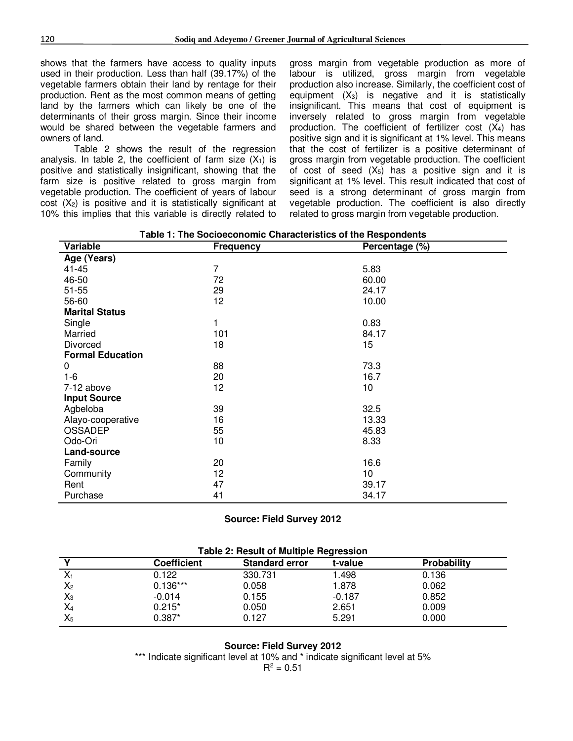shows that the farmers have access to quality inputs used in their production. Less than half (39.17%) of the vegetable farmers obtain their land by rentage for their production. Rent as the most common means of getting land by the farmers which can likely be one of the determinants of their gross margin. Since their income would be shared between the vegetable farmers and owners of land.

Table 2 shows the result of the regression analysis. In table 2, the coefficient of farm size  $(X_1)$  is positive and statistically insignificant, showing that the farm size is positive related to gross margin from vegetable production. The coefficient of years of labour  $cost$  ( $X_2$ ) is positive and it is statistically significant at 10% this implies that this variable is directly related to

gross margin from vegetable production as more of labour is utilized, gross margin from vegetable production also increase. Similarly, the coefficient cost of equipment  $(X_3)$  is negative and it is statistically insignificant. This means that cost of equipment is inversely related to gross margin from vegetable production. The coefficient of fertilizer cost  $(X_4)$  has positive sign and it is significant at 1% level. This means that the cost of fertilizer is a positive determinant of gross margin from vegetable production. The coefficient of cost of seed  $(X_5)$  has a positive sign and it is significant at 1% level. This result indicated that cost of seed is a strong determinant of gross margin from vegetable production. The coefficient is also directly related to gross margin from vegetable production.

| Variable                | <b>Frequency</b> | Percentage (%) |  |
|-------------------------|------------------|----------------|--|
| Age (Years)             |                  |                |  |
| 41-45                   | 7                | 5.83           |  |
| 46-50                   | 72               | 60.00          |  |
| $51 - 55$               | 29               | 24.17          |  |
| 56-60                   | 12               | 10.00          |  |
| <b>Marital Status</b>   |                  |                |  |
| Single                  | 1                | 0.83           |  |
| Married                 | 101              | 84.17          |  |
| Divorced                | 18               | 15             |  |
| <b>Formal Education</b> |                  |                |  |
| 0                       | 88               | 73.3           |  |
| $1 - 6$                 | 20               | 16.7           |  |
| 7-12 above              | 12               | 10             |  |
| <b>Input Source</b>     |                  |                |  |
| Agbeloba                | 39               | 32.5           |  |
| Alayo-cooperative       | 16               | 13.33          |  |
| <b>OSSADEP</b>          | 55               | 45.83          |  |
| Odo-Ori                 | 10               | 8.33           |  |
| Land-source             |                  |                |  |
| Family                  | 20               | 16.6           |  |
| Community               | 12               | 10             |  |
| Rent                    | 47               | 39.17          |  |
| Purchase                | 41               | 34.17          |  |

**Table 1: The Socioeconomic Characteristics of the Respondents**

**Source: Field Survey 2012** 

| <b>Table 2: Result of Multiple Regression</b> |                    |                       |          |             |
|-----------------------------------------------|--------------------|-----------------------|----------|-------------|
|                                               | <b>Coefficient</b> | <b>Standard error</b> | t-value  | Probability |
| $X_1$                                         | 0.122              | 330.731               | 1.498    | 0.136       |
| $X_2$                                         | $0.136***$         | 0.058                 | 1.878    | 0.062       |
| $X_3$                                         | $-0.014$           | 0.155                 | $-0.187$ | 0.852       |
| $X_4$                                         | $0.215*$           | 0.050                 | 2.651    | 0.009       |
| $X_5$                                         | $0.387*$           | 0.127                 | 5.291    | 0.000       |

#### **Source: Field Survey 2012**

\*\*\* Indicate significant level at 10% and \* indicate significant level at 5%  $R^2 = 0.51$